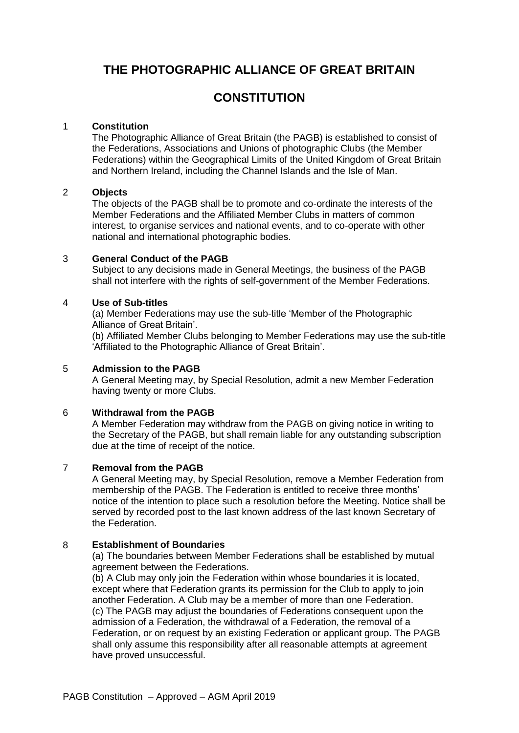# **THE PHOTOGRAPHIC ALLIANCE OF GREAT BRITAIN**

# **CONSTITUTION**

# 1 **Constitution**

The Photographic Alliance of Great Britain (the PAGB) is established to consist of the Federations, Associations and Unions of photographic Clubs (the Member Federations) within the Geographical Limits of the United Kingdom of Great Britain and Northern Ireland, including the Channel Islands and the Isle of Man.

## 2 **Objects**

The objects of the PAGB shall be to promote and co-ordinate the interests of the Member Federations and the Affiliated Member Clubs in matters of common interest, to organise services and national events, and to co-operate with other national and international photographic bodies.

## 3 **General Conduct of the PAGB**

Subject to any decisions made in General Meetings, the business of the PAGB shall not interfere with the rights of self-government of the Member Federations.

## 4 **Use of Sub-titles**

(a) Member Federations may use the sub-title 'Member of the Photographic Alliance of Great Britain'.

(b) Affiliated Member Clubs belonging to Member Federations may use the sub-title 'Affiliated to the Photographic Alliance of Great Britain'.

## 5 **Admission to the PAGB**

A General Meeting may, by Special Resolution, admit a new Member Federation having twenty or more Clubs.

# 6 **Withdrawal from the PAGB**

A Member Federation may withdraw from the PAGB on giving notice in writing to the Secretary of the PAGB, but shall remain liable for any outstanding subscription due at the time of receipt of the notice.

# 7 **Removal from the PAGB**

A General Meeting may, by Special Resolution, remove a Member Federation from membership of the PAGB. The Federation is entitled to receive three months' notice of the intention to place such a resolution before the Meeting. Notice shall be served by recorded post to the last known address of the last known Secretary of the Federation.

# 8 **Establishment of Boundaries**

(a) The boundaries between Member Federations shall be established by mutual agreement between the Federations.

(b) A Club may only join the Federation within whose boundaries it is located, except where that Federation grants its permission for the Club to apply to join another Federation. A Club may be a member of more than one Federation. (c) The PAGB may adjust the boundaries of Federations consequent upon the admission of a Federation, the withdrawal of a Federation, the removal of a Federation, or on request by an existing Federation or applicant group. The PAGB shall only assume this responsibility after all reasonable attempts at agreement have proved unsuccessful.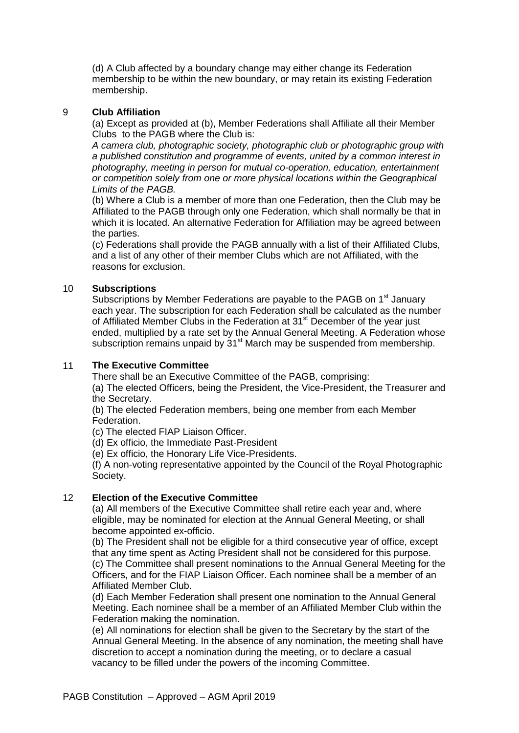(d) A Club affected by a boundary change may either change its Federation membership to be within the new boundary, or may retain its existing Federation membership.

# 9 **Club Affiliation**

(a) Except as provided at (b), Member Federations shall Affiliate all their Member Clubs to the PAGB where the Club is:

*A camera club, photographic society, photographic club or photographic group with a published constitution and programme of events, united by a common interest in photography, meeting in person for mutual co-operation, education, entertainment or competition solely from one or more physical locations within the Geographical Limits of the PAGB.*

(b) Where a Club is a member of more than one Federation, then the Club may be Affiliated to the PAGB through only one Federation, which shall normally be that in which it is located. An alternative Federation for Affiliation may be agreed between the parties.

(c) Federations shall provide the PAGB annually with a list of their Affiliated Clubs, and a list of any other of their member Clubs which are not Affiliated, with the reasons for exclusion.

# 10 **Subscriptions**

Subscriptions by Member Federations are payable to the PAGB on 1<sup>st</sup> January each year. The subscription for each Federation shall be calculated as the number of Affiliated Member Clubs in the Federation at 31<sup>st</sup> December of the year just ended, multiplied by a rate set by the Annual General Meeting. A Federation whose subscription remains unpaid by 31<sup>st</sup> March may be suspended from membership.

# 11 **The Executive Committee**

There shall be an Executive Committee of the PAGB, comprising:

(a) The elected Officers, being the President, the Vice-President, the Treasurer and the Secretary.

(b) The elected Federation members, being one member from each Member Federation.

(c) The elected FIAP Liaison Officer.

(d) Ex officio, the Immediate Past-President

(e) Ex officio, the Honorary Life Vice-Presidents.

(f) A non-voting representative appointed by the Council of the Royal Photographic Society.

# 12 **Election of the Executive Committee**

(a) All members of the Executive Committee shall retire each year and, where eligible, may be nominated for election at the Annual General Meeting, or shall become appointed ex-officio.

(b) The President shall not be eligible for a third consecutive year of office, except that any time spent as Acting President shall not be considered for this purpose. (c) The Committee shall present nominations to the Annual General Meeting for the Officers, and for the FIAP Liaison Officer. Each nominee shall be a member of an Affiliated Member Club.

(d) Each Member Federation shall present one nomination to the Annual General Meeting. Each nominee shall be a member of an Affiliated Member Club within the Federation making the nomination.

(e) All nominations for election shall be given to the Secretary by the start of the Annual General Meeting. In the absence of any nomination, the meeting shall have discretion to accept a nomination during the meeting, or to declare a casual vacancy to be filled under the powers of the incoming Committee.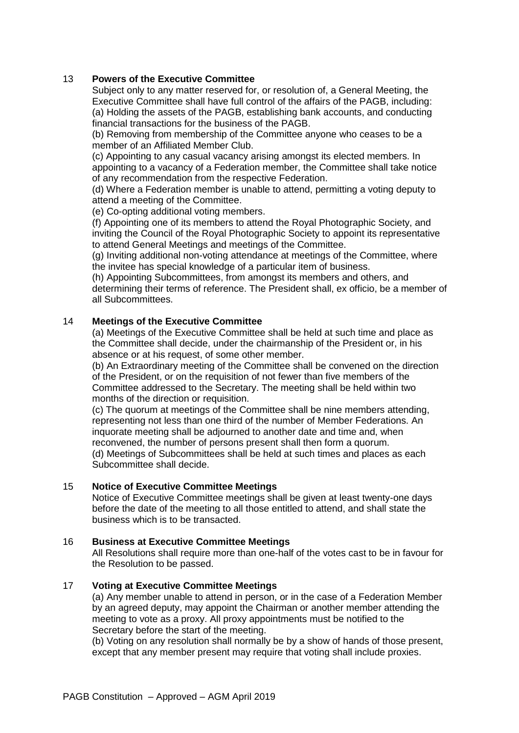# 13 **Powers of the Executive Committee**

Subject only to any matter reserved for, or resolution of, a General Meeting, the Executive Committee shall have full control of the affairs of the PAGB, including: (a) Holding the assets of the PAGB, establishing bank accounts, and conducting financial transactions for the business of the PAGB.

(b) Removing from membership of the Committee anyone who ceases to be a member of an Affiliated Member Club.

(c) Appointing to any casual vacancy arising amongst its elected members. In appointing to a vacancy of a Federation member, the Committee shall take notice of any recommendation from the respective Federation.

(d) Where a Federation member is unable to attend, permitting a voting deputy to attend a meeting of the Committee.

(e) Co-opting additional voting members.

(f) Appointing one of its members to attend the Royal Photographic Society, and inviting the Council of the Royal Photographic Society to appoint its representative to attend General Meetings and meetings of the Committee.

(g) Inviting additional non-voting attendance at meetings of the Committee, where the invitee has special knowledge of a particular item of business.

(h) Appointing Subcommittees, from amongst its members and others, and determining their terms of reference. The President shall, ex officio, be a member of all Subcommittees.

# 14 **Meetings of the Executive Committee**

(a) Meetings of the Executive Committee shall be held at such time and place as the Committee shall decide, under the chairmanship of the President or, in his absence or at his request, of some other member.

(b) An Extraordinary meeting of the Committee shall be convened on the direction of the President, or on the requisition of not fewer than five members of the Committee addressed to the Secretary. The meeting shall be held within two months of the direction or requisition.

(c) The quorum at meetings of the Committee shall be nine members attending, representing not less than one third of the number of Member Federations. An inquorate meeting shall be adjourned to another date and time and, when reconvened, the number of persons present shall then form a quorum. (d) Meetings of Subcommittees shall be held at such times and places as each Subcommittee shall decide.

#### 15 **Notice of Executive Committee Meetings**

Notice of Executive Committee meetings shall be given at least twenty-one days before the date of the meeting to all those entitled to attend, and shall state the business which is to be transacted.

#### 16 **Business at Executive Committee Meetings**

All Resolutions shall require more than one-half of the votes cast to be in favour for the Resolution to be passed.

#### 17 **Voting at Executive Committee Meetings**

(a) Any member unable to attend in person, or in the case of a Federation Member by an agreed deputy, may appoint the Chairman or another member attending the meeting to vote as a proxy. All proxy appointments must be notified to the Secretary before the start of the meeting.

(b) Voting on any resolution shall normally be by a show of hands of those present, except that any member present may require that voting shall include proxies.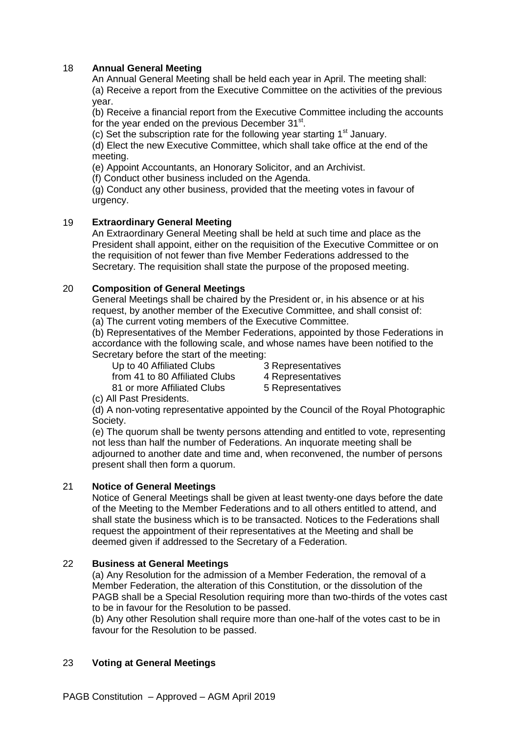## 18 **Annual General Meeting**

An Annual General Meeting shall be held each year in April. The meeting shall: (a) Receive a report from the Executive Committee on the activities of the previous year.

(b) Receive a financial report from the Executive Committee including the accounts for the year ended on the previous December 31st.

(c) Set the subscription rate for the following year starting  $1<sup>st</sup>$  January.

(d) Elect the new Executive Committee, which shall take office at the end of the meeting.

(e) Appoint Accountants, an Honorary Solicitor, and an Archivist.

(f) Conduct other business included on the Agenda.

(g) Conduct any other business, provided that the meeting votes in favour of urgency.

## 19 **Extraordinary General Meeting**

An Extraordinary General Meeting shall be held at such time and place as the President shall appoint, either on the requisition of the Executive Committee or on the requisition of not fewer than five Member Federations addressed to the Secretary. The requisition shall state the purpose of the proposed meeting.

## 20 **Composition of General Meetings**

General Meetings shall be chaired by the President or, in his absence or at his request, by another member of the Executive Committee, and shall consist of: (a) The current voting members of the Executive Committee.

(b) Representatives of the Member Federations, appointed by those Federations in accordance with the following scale, and whose names have been notified to the Secretary before the start of the meeting:

Up to 40 Affiliated Clubs 3 Representatives from 41 to 80 Affiliated Clubs 4 Representatives

81 or more Affiliated Clubs 5 Representatives

(c) All Past Presidents.

(d) A non-voting representative appointed by the Council of the Royal Photographic Society.

(e) The quorum shall be twenty persons attending and entitled to vote, representing not less than half the number of Federations. An inquorate meeting shall be adjourned to another date and time and, when reconvened, the number of persons present shall then form a quorum.

#### 21 **Notice of General Meetings**

Notice of General Meetings shall be given at least twenty-one days before the date of the Meeting to the Member Federations and to all others entitled to attend, and shall state the business which is to be transacted. Notices to the Federations shall request the appointment of their representatives at the Meeting and shall be deemed given if addressed to the Secretary of a Federation.

#### 22 **Business at General Meetings**

(a) Any Resolution for the admission of a Member Federation, the removal of a Member Federation, the alteration of this Constitution, or the dissolution of the PAGB shall be a Special Resolution requiring more than two-thirds of the votes cast to be in favour for the Resolution to be passed.

(b) Any other Resolution shall require more than one-half of the votes cast to be in favour for the Resolution to be passed.

#### 23 **Voting at General Meetings**